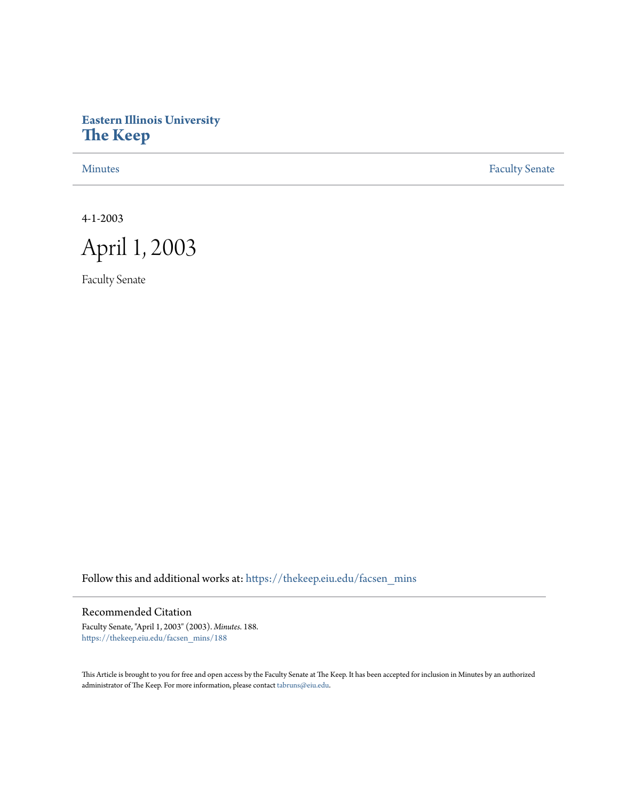# **Eastern Illinois University [The Keep](https://thekeep.eiu.edu?utm_source=thekeep.eiu.edu%2Ffacsen_mins%2F188&utm_medium=PDF&utm_campaign=PDFCoverPages)**

[Minutes](https://thekeep.eiu.edu/facsen_mins?utm_source=thekeep.eiu.edu%2Ffacsen_mins%2F188&utm_medium=PDF&utm_campaign=PDFCoverPages) **[Faculty Senate](https://thekeep.eiu.edu/fac_senate?utm_source=thekeep.eiu.edu%2Ffacsen_mins%2F188&utm_medium=PDF&utm_campaign=PDFCoverPages)** 

4-1-2003



Faculty Senate

Follow this and additional works at: [https://thekeep.eiu.edu/facsen\\_mins](https://thekeep.eiu.edu/facsen_mins?utm_source=thekeep.eiu.edu%2Ffacsen_mins%2F188&utm_medium=PDF&utm_campaign=PDFCoverPages)

# Recommended Citation

Faculty Senate, "April 1, 2003" (2003). *Minutes*. 188. [https://thekeep.eiu.edu/facsen\\_mins/188](https://thekeep.eiu.edu/facsen_mins/188?utm_source=thekeep.eiu.edu%2Ffacsen_mins%2F188&utm_medium=PDF&utm_campaign=PDFCoverPages)

This Article is brought to you for free and open access by the Faculty Senate at The Keep. It has been accepted for inclusion in Minutes by an authorized administrator of The Keep. For more information, please contact [tabruns@eiu.edu.](mailto:tabruns@eiu.edu)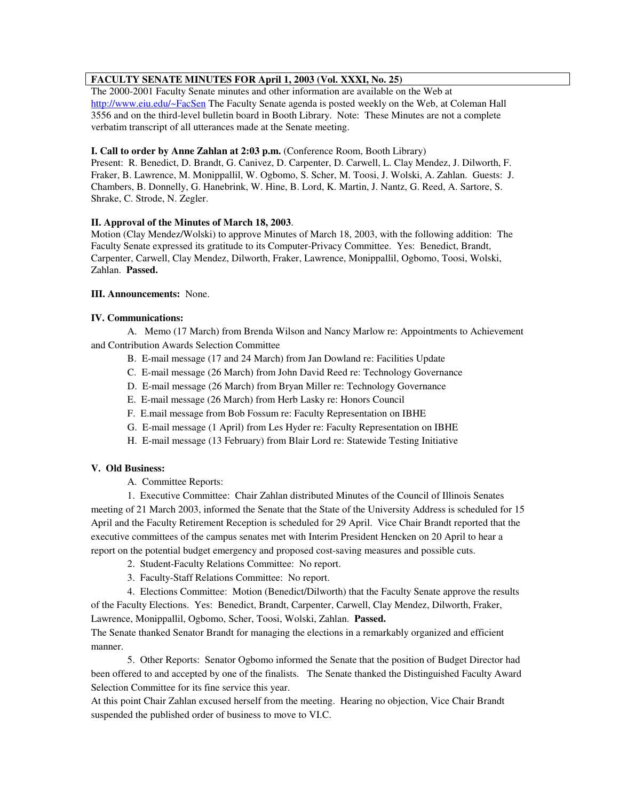## **FACULTY SENATE MINUTES FOR April 1, 2003 (Vol. XXXI, No. 25)**

The 2000-2001 Faculty Senate minutes and other information are available on the Web at http://www.eiu.edu/~FacSen The Faculty Senate agenda is posted weekly on the Web, at Coleman Hall 3556 and on the third-level bulletin board in Booth Library. Note: These Minutes are not a complete verbatim transcript of all utterances made at the Senate meeting.

## **I. Call to order by Anne Zahlan at 2:03 p.m.** (Conference Room, Booth Library)

Present: R. Benedict, D. Brandt, G. Canivez, D. Carpenter, D. Carwell, L. Clay Mendez, J. Dilworth, F. Fraker, B. Lawrence, M. Monippallil, W. Ogbomo, S. Scher, M. Toosi, J. Wolski, A. Zahlan. Guests: J. Chambers, B. Donnelly, G. Hanebrink, W. Hine, B. Lord, K. Martin, J. Nantz, G. Reed, A. Sartore, S. Shrake, C. Strode, N. Zegler.

#### **II. Approval of the Minutes of March 18, 2003**.

Motion (Clay Mendez/Wolski) to approve Minutes of March 18, 2003, with the following addition: The Faculty Senate expressed its gratitude to its Computer-Privacy Committee. Yes: Benedict, Brandt, Carpenter, Carwell, Clay Mendez, Dilworth, Fraker, Lawrence, Monippallil, Ogbomo, Toosi, Wolski, Zahlan. **Passed.**

#### **III. Announcements:** None.

#### **IV. Communications:**

A. Memo (17 March) from Brenda Wilson and Nancy Marlow re: Appointments to Achievement and Contribution Awards Selection Committee

- B. E-mail message (17 and 24 March) from Jan Dowland re: Facilities Update
- C. E-mail message (26 March) from John David Reed re: Technology Governance
- D. E-mail message (26 March) from Bryan Miller re: Technology Governance
- E. E-mail message (26 March) from Herb Lasky re: Honors Council
- F. E.mail message from Bob Fossum re: Faculty Representation on IBHE
- G. E-mail message (1 April) from Les Hyder re: Faculty Representation on IBHE
- H. E-mail message (13 February) from Blair Lord re: Statewide Testing Initiative

## **V. Old Business:**

A. Committee Reports:

1. Executive Committee: Chair Zahlan distributed Minutes of the Council of Illinois Senates meeting of 21 March 2003, informed the Senate that the State of the University Address is scheduled for 15 April and the Faculty Retirement Reception is scheduled for 29 April. Vice Chair Brandt reported that the executive committees of the campus senates met with Interim President Hencken on 20 April to hear a report on the potential budget emergency and proposed cost-saving measures and possible cuts.

- 2. Student-Faculty Relations Committee: No report.
- 3. Faculty-Staff Relations Committee: No report.

4. Elections Committee: Motion (Benedict/Dilworth) that the Faculty Senate approve the results of the Faculty Elections. Yes: Benedict, Brandt, Carpenter, Carwell, Clay Mendez, Dilworth, Fraker, Lawrence, Monippallil, Ogbomo, Scher, Toosi, Wolski, Zahlan. **Passed.**

The Senate thanked Senator Brandt for managing the elections in a remarkably organized and efficient manner.

5. Other Reports: Senator Ogbomo informed the Senate that the position of Budget Director had been offered to and accepted by one of the finalists. The Senate thanked the Distinguished Faculty Award Selection Committee for its fine service this year.

At this point Chair Zahlan excused herself from the meeting. Hearing no objection, Vice Chair Brandt suspended the published order of business to move to VI.C.